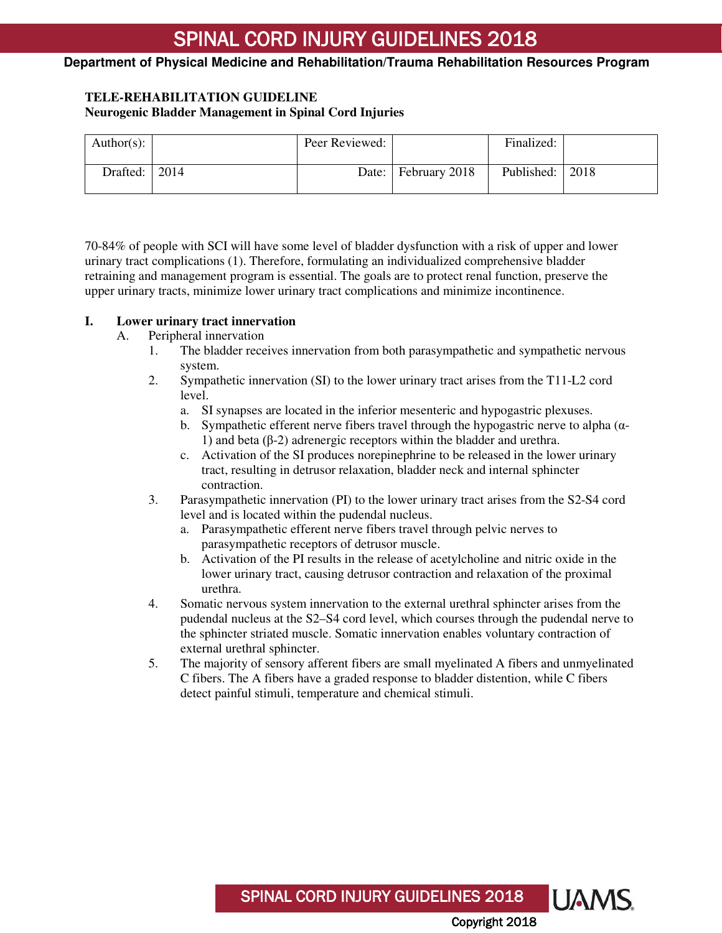### **Department of Physical Medicine and Rehabilitation/Trauma Rehabilitation Resources Program**

### **TELE-REHABILITATION GUIDELINE Neurogenic Bladder Management in Spinal Cord Injuries**

| Author(s): |      | Peer Reviewed: |                       | Finalized:        |  |
|------------|------|----------------|-----------------------|-------------------|--|
| Drafted:   | 2014 |                | Date:   February 2018 | Published:   2018 |  |

70-84% of people with SCI will have some level of bladder dysfunction with a risk of upper and lower urinary tract complications [\(1\)](#page-6-0). Therefore, formulating an individualized comprehensive bladder retraining and management program is essential. The goals are to protect renal function, preserve the upper urinary tracts, minimize lower urinary tract complications and minimize incontinence.

#### **I. Lower urinary tract innervation**

#### A. Peripheral innervation

- 1. The bladder receives innervation from both parasympathetic and sympathetic nervous system.
- 2. Sympathetic innervation (SI) to the lower urinary tract arises from the T11-L2 cord level.
	- a. SI synapses are located in the inferior mesenteric and hypogastric plexuses.
	- b. Sympathetic efferent nerve fibers travel through the hypogastric nerve to alpha ( $\alpha$ -1) and beta  $(β-2)$  adrenergic receptors within the bladder and urethra.
	- c. Activation of the SI produces norepinephrine to be released in the lower urinary tract, resulting in detrusor relaxation, bladder neck and internal sphincter contraction.
- 3. Parasympathetic innervation (PI) to the lower urinary tract arises from the S2-S4 cord level and is located within the pudendal nucleus.
	- a. Parasympathetic efferent nerve fibers travel through pelvic nerves to parasympathetic receptors of detrusor muscle.
	- b. Activation of the PI results in the release of acetylcholine and nitric oxide in the lower urinary tract, causing detrusor contraction and relaxation of the proximal urethra.
- 4. Somatic nervous system innervation to the external urethral sphincter arises from the pudendal nucleus at the S2–S4 cord level, which courses through the pudendal nerve to the sphincter striated muscle. Somatic innervation enables voluntary contraction of external urethral sphincter.
- 5. The majority of sensory afferent fibers are small myelinated A fibers and unmyelinated C fibers. The A fibers have a graded response to bladder distention, while C fibers detect painful stimuli, temperature and chemical stimuli.

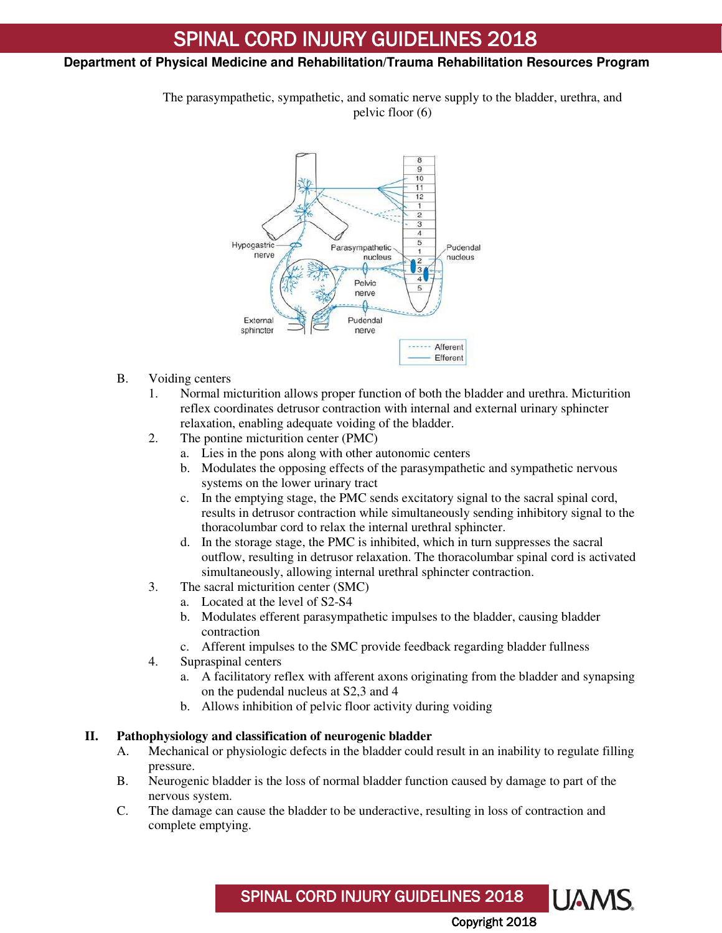### **Department of Physical Medicine and Rehabilitation/Trauma Rehabilitation Resources Program**

The parasympathetic, sympathetic, and somatic nerve supply to the bladder, urethra, and pelvic floor (6)



- B. Voiding centers
	- 1. Normal micturition allows proper function of both the bladder and urethra. Micturition reflex coordinates detrusor contraction with internal and external urinary sphincter relaxation, enabling adequate voiding of the bladder.
	- 2. The pontine micturition center (PMC)
		- a. Lies in the pons along with other autonomic centers
		- b. Modulates the opposing effects of the parasympathetic and sympathetic nervous systems on the lower urinary tract
		- c. In the emptying stage, the PMC sends excitatory signal to the sacral spinal cord, results in detrusor contraction while simultaneously sending inhibitory signal to the thoracolumbar cord to relax the internal urethral sphincter.
		- d. In the storage stage, the PMC is inhibited, which in turn suppresses the sacral outflow, resulting in detrusor relaxation. The thoracolumbar spinal cord is activated simultaneously, allowing internal urethral sphincter contraction.
	- 3. The sacral micturition center (SMC)
		- a. Located at the level of S2-S4
		- b. Modulates efferent parasympathetic impulses to the bladder, causing bladder contraction
		- c. Afferent impulses to the SMC provide feedback regarding bladder fullness
	- 4. Supraspinal centers
		- a. A facilitatory reflex with afferent axons originating from the bladder and synapsing on the pudendal nucleus at S2,3 and 4
		- b. Allows inhibition of pelvic floor activity during voiding

#### **II. Pathophysiology and classification of neurogenic bladder**

- A. Mechanical or physiologic defects in the bladder could result in an inability to regulate filling pressure.
- B. Neurogenic bladder is the loss of normal bladder function caused by damage to part of the nervous system.
- C. The damage can cause the bladder to be underactive, resulting in loss of contraction and complete emptying.

LIAMS SPINAL CORD INJURY GUIDELINES 2018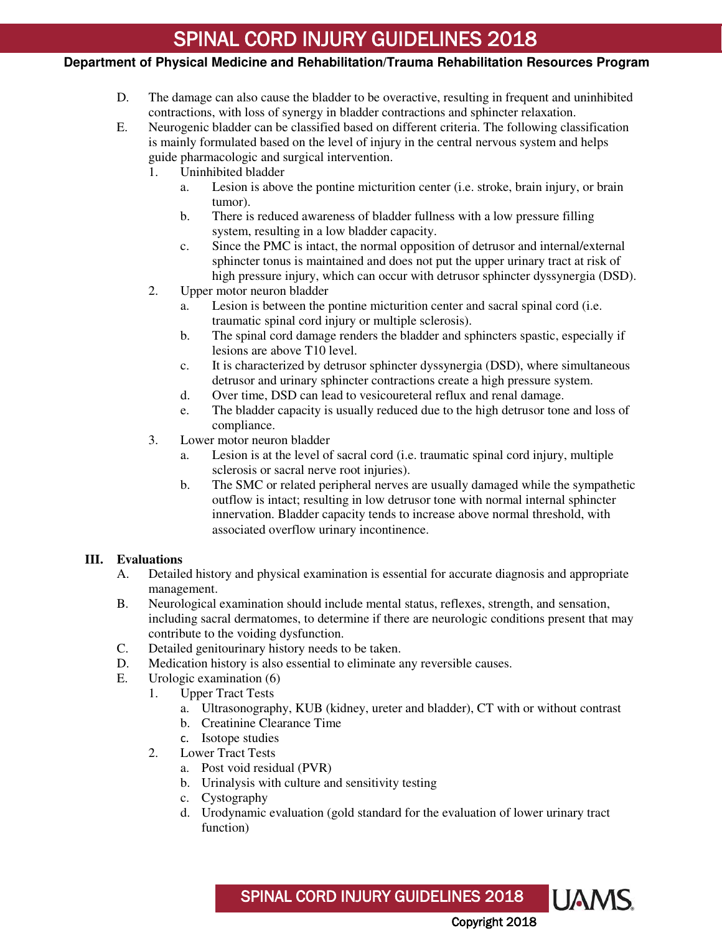# **Department of Physical Medicine and Rehabilitation/Trauma Rehabilitation Resources Program**

- D. The damage can also cause the bladder to be overactive, resulting in frequent and uninhibited contractions, with loss of synergy in bladder contractions and sphincter relaxation.
- E. Neurogenic bladder can be classified based on different criteria. The following classification is mainly formulated based on the level of injury in the central nervous system and helps guide pharmacologic and surgical intervention.
	- 1. Uninhibited bladder
		- a. Lesion is above the pontine micturition center (i.e. stroke, brain injury, or brain tumor).
		- b. There is reduced awareness of bladder fullness with a low pressure filling system, resulting in a low bladder capacity.
		- c. Since the PMC is intact, the normal opposition of detrusor and internal/external sphincter tonus is maintained and does not put the upper urinary tract at risk of high pressure injury, which can occur with detrusor sphincter dyssynergia (DSD).
	- 2. Upper motor neuron bladder
		- a. Lesion is between the pontine micturition center and sacral spinal cord (i.e. traumatic spinal cord injury or multiple sclerosis).
		- b. The spinal cord damage renders the bladder and sphincters spastic, especially if lesions are above T10 level.
		- c. It is characterized by detrusor sphincter dyssynergia (DSD), where simultaneous detrusor and urinary sphincter contractions create a high pressure system.
		- d. Over time, DSD can lead to vesicoureteral reflux and renal damage.
		- e. The bladder capacity is usually reduced due to the high detrusor tone and loss of compliance.
	- 3. Lower motor neuron bladder
		- a. Lesion is at the level of sacral cord (i.e. traumatic spinal cord injury, multiple sclerosis or sacral nerve root injuries).
		- b. The SMC or related peripheral nerves are usually damaged while the sympathetic outflow is intact; resulting in low detrusor tone with normal internal sphincter innervation. Bladder capacity tends to increase above normal threshold, with associated overflow urinary incontinence.

# **III. Evaluations**

- A. Detailed history and physical examination is essential for accurate diagnosis and appropriate management.
- B. Neurological examination should include mental status, reflexes, strength, and sensation, including sacral dermatomes, to determine if there are neurologic conditions present that may contribute to the voiding dysfunction.
- C. Detailed genitourinary history needs to be taken.
- D. Medication history is also essential to eliminate any reversible causes.
- E. Urologic examination (6)
	- 1. Upper Tract Tests
		- a. Ultrasonography, KUB (kidney, ureter and bladder), CT with or without contrast
		- b. Creatinine Clearance Time
		- c. Isotope studies
		- 2. Lower Tract Tests
			- a. Post void residual (PVR)
			- b. Urinalysis with culture and sensitivity testing
			- c. Cystography
			- d. Urodynamic evaluation (gold standard for the evaluation of lower urinary tract function)

SPINAL CORD INJURY GUIDELINES 2018 **UAMS**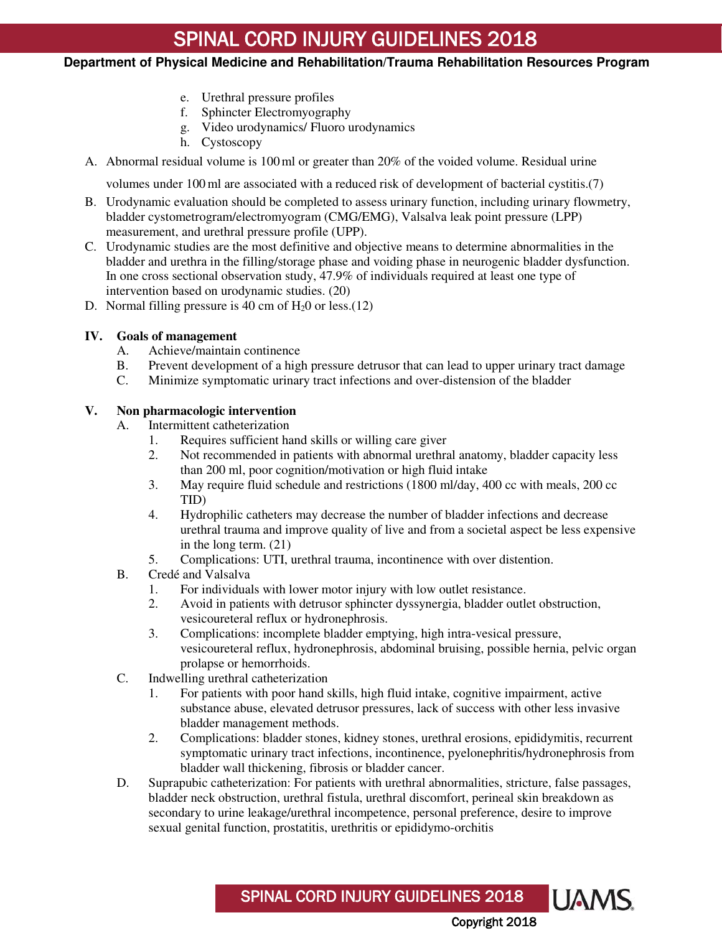## **Department of Physical Medicine and Rehabilitation/Trauma Rehabilitation Resources Program**

- e. Urethral pressure profiles
- f. Sphincter Electromyography
- g. Video urodynamics/ Fluoro urodynamics
- h. Cystoscopy
- A. Abnormal residual volume is 100ml or greater than 20% of the voided volume. Residual urine

volumes under 100ml are associated with a reduced risk of development of bacterial cystitis.(7)

- B. Urodynamic evaluation should be completed to assess urinary function, including urinary flowmetry, bladder cystometrogram/electromyogram (CMG/EMG), Valsalva leak point pressure (LPP) measurement, and urethral pressure profile (UPP).
- C. Urodynamic studies are the most definitive and objective means to determine abnormalities in the bladder and urethra in the filling/storage phase and voiding phase in neurogenic bladder dysfunction. In one cross sectional observation study, 47.9% of individuals required at least one type of intervention based on urodynamic studies. (20)
- D. Normal filling pressure is 40 cm of  $H<sub>2</sub>0$  or less.(12)

### **IV. Goals of management**

- A. Achieve/maintain continence
- B. Prevent development of a high pressure detrusor that can lead to upper urinary tract damage
- C. Minimize symptomatic urinary tract infections and over-distension of the bladder

### **V. Non pharmacologic intervention**

- A. Intermittent catheterization
	- 1. Requires sufficient hand skills or willing care giver
	- 2. Not recommended in patients with abnormal urethral anatomy, bladder capacity less than 200 ml, poor cognition/motivation or high fluid intake
	- 3. May require fluid schedule and restrictions (1800 ml/day, 400 cc with meals, 200 cc TID)
	- 4. Hydrophilic catheters may decrease the number of bladder infections and decrease urethral trauma and improve quality of live and from a societal aspect be less expensive in the long term. (21)
	- 5. Complications: UTI, urethral trauma, incontinence with over distention.
- B. Credé and Valsalva
	- 1. For individuals with lower motor injury with low outlet resistance.
	- 2. Avoid in patients with detrusor sphincter dyssynergia, bladder outlet obstruction, vesicoureteral reflux or hydronephrosis.
	- 3. Complications: incomplete bladder emptying, high intra-vesical pressure, vesicoureteral reflux, hydronephrosis, abdominal bruising, possible hernia, pelvic organ prolapse or hemorrhoids.
- C. Indwelling urethral catheterization
	- 1. For patients with poor hand skills, high fluid intake, cognitive impairment, active substance abuse, elevated detrusor pressures, lack of success with other less invasive bladder management methods.
	- 2. Complications: bladder stones, kidney stones, urethral erosions, epididymitis, recurrent symptomatic urinary tract infections, incontinence, pyelonephritis/hydronephrosis from bladder wall thickening, fibrosis or bladder cancer.
- D. Suprapubic catheterization: For patients with urethral abnormalities, stricture, false passages, bladder neck obstruction, urethral fistula, urethral discomfort, perineal skin breakdown as secondary to urine leakage/urethral incompetence, personal preference, desire to improve sexual genital function, prostatitis, urethritis or epididymo-orchitis

SPINAL CORD INJURY GUIDELINES 2018

Copyright 2018

**UAMS**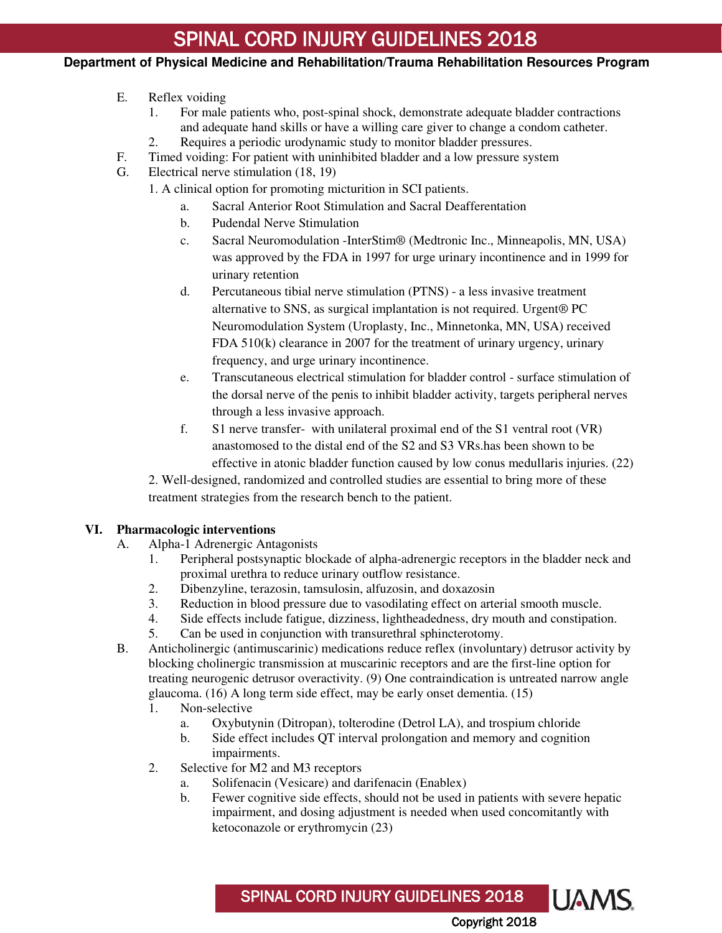## **Department of Physical Medicine and Rehabilitation/Trauma Rehabilitation Resources Program**

# E. Reflex voiding

- 1. For male patients who, post-spinal shock, demonstrate adequate bladder contractions and adequate hand skills or have a willing care giver to change a condom catheter.
- 2. Requires a periodic urodynamic study to monitor bladder pressures.
- F. Timed voiding: For patient with uninhibited bladder and a low pressure system
- G. Electrical nerve stimulation (18, 19)
	- 1. A clinical option for promoting micturition in SCI patients.
		- a. Sacral Anterior Root Stimulation and Sacral Deafferentation
		- b. Pudendal Nerve Stimulation
		- c. Sacral Neuromodulation -InterStim® (Medtronic Inc., Minneapolis, MN, USA) was approved by the FDA in 1997 for urge urinary incontinence and in 1999 for urinary retention
		- d. Percutaneous tibial nerve stimulation (PTNS) a less invasive treatment alternative to SNS, as surgical implantation is not required. Urgent® PC Neuromodulation System (Uroplasty, Inc., Minnetonka, MN, USA) received FDA 510(k) clearance in 2007 for the treatment of urinary urgency, urinary frequency, and urge urinary incontinence.
		- e. Transcutaneous electrical stimulation for bladder control surface stimulation of the dorsal nerve of the penis to inhibit bladder activity, targets peripheral nerves through a less invasive approach.
		- f. S1 nerve transfer- with unilateral proximal end of the S1 ventral root (VR) anastomosed to the distal end of the S2 and S3 VRs.has been shown to be effective in atonic bladder function caused by low conus medullaris injuries. (22)

2. Well-designed, randomized and controlled studies are essential to bring more of these treatment strategies from the research bench to the patient.

#### **VI. Pharmacologic interventions**

- A. Alpha-1 Adrenergic Antagonists
	- 1. Peripheral postsynaptic blockade of alpha-adrenergic receptors in the bladder neck and proximal urethra to reduce urinary outflow resistance.
	- 2. Dibenzyline, terazosin, tamsulosin, alfuzosin, and doxazosin
	- 3. Reduction in blood pressure due to vasodilating effect on arterial smooth muscle.
	- 4. Side effects include fatigue, dizziness, lightheadedness, dry mouth and constipation.
	- 5. Can be used in conjunction with transurethral sphincterotomy.
- B. Anticholinergic (antimuscarinic) medications reduce reflex (involuntary) detrusor activity by blocking cholinergic transmission at muscarinic receptors and are the first-line option for treating neurogenic detrusor overactivity. (9) One contraindication is untreated narrow angle glaucoma. (16) A long term side effect, may be early onset dementia. (15)
	- 1. Non-selective
		- a. Oxybutynin (Ditropan), tolterodine (Detrol LA), and trospium chloride
		- b. Side effect includes QT interval prolongation and memory and cognition impairments.

SPINAL CORD INJURY GUIDELINES 2018

- 2. Selective for M2 and M3 receptors
	- a. Solifenacin (Vesicare) and darifenacin (Enablex)
	- b. Fewer cognitive side effects, should not be used in patients with severe hepatic impairment, and dosing adjustment is needed when used concomitantly with ketoconazole or erythromycin (23)

Copyright 2018

**UAMS**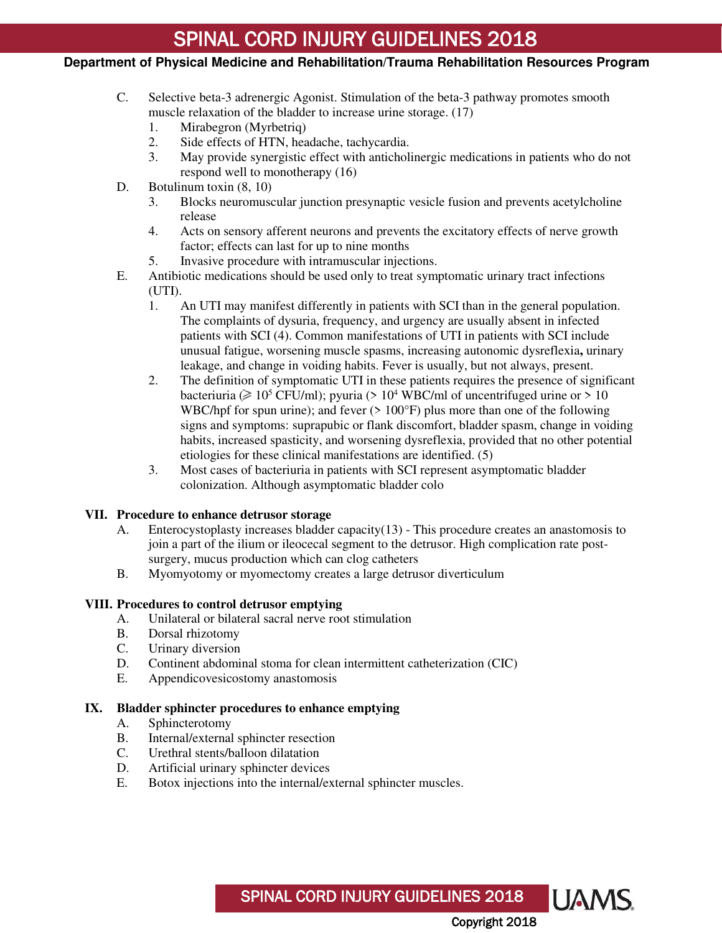# **Department of Physical Medicine and Rehabilitation/Trauma Rehabilitation Resources Program**

- C. Selective beta-3 adrenergic Agonist. Stimulation of the beta-3 pathway promotes smooth muscle relaxation of the bladder to increase urine storage. (17)
	- 1. Mirabegron (Myrbetriq)
	- 2. Side effects of HTN, headache, tachycardia.<br>3. May provide synergistic effect with antichol
	- 3. May provide synergistic effect with anticholinergic medications in patients who do not respond well to monotherapy (16)
- D. Botulinum toxin  $(8, 10)$ 
	- 3. Blocks neuromuscular junction presynaptic vesicle fusion and prevents acetylcholine release
	- 4. Acts on sensory afferent neurons and prevents the excitatory effects of nerve growth factor; effects can last for up to nine months
	- 5. Invasive procedure with intramuscular injections.
- E. Antibiotic medications should be used only to treat symptomatic urinary tract infections (UTI).
	- 1. An UTI may manifest differently in patients with SCI than in the general population. The complaints of dysuria, frequency, and urgency are usually absent in infected patients with SCI (4). Common manifestations of UTI in patients with SCI include unusual fatigue, worsening muscle spasms, increasing autonomic dysreflexia**,** urinary leakage, and change in voiding habits. Fever is usually, but not always, present.
	- 2. The definition of symptomatic UTI in these patients requires the presence of significant bacteriuria ( $\geq 10^5$  CFU/ml); pyuria (> 10<sup>4</sup> WBC/ml of uncentrifuged urine or > 10 WBC/hpf for spun urine); and fever  $(>100^{\circ}F)$  plus more than one of the following signs and symptoms: suprapubic or flank discomfort, bladder spasm, change in voiding habits, increased spasticity, and worsening dysreflexia, provided that no other potential etiologies for these clinical manifestations are identified. (5)
	- 3. Most cases of bacteriuria in patients with SCI represent asymptomatic bladder colonization. Although asymptomatic bladder colo

#### **VII. Procedure to enhance detrusor storage**

- A. Enterocystoplasty increases bladder capacity(13) This procedure creates an anastomosis to join a part of the ilium or ileocecal segment to the detrusor. High complication rate postsurgery, mucus production which can clog catheters
- B. Myomyotomy or myomectomy creates a large detrusor diverticulum

#### **VIII. Procedures to control detrusor emptying**

- A. Unilateral or bilateral sacral nerve root stimulation
- B. Dorsal rhizotomy
- C. Urinary diversion
- D. Continent abdominal stoma for clean intermittent catheterization (CIC)
- E. Appendicovesicostomy anastomosis

#### **IX. Bladder sphincter procedures to enhance emptying**

- A. Sphincterotomy
- B. Internal/external sphincter resection
- C. Urethral stents/balloon dilatation
- D. Artificial urinary sphincter devices
- E. Botox injections into the internal/external sphincter muscles.

SPINAL CORD INJURY GUIDELINES 2018 **UAMS**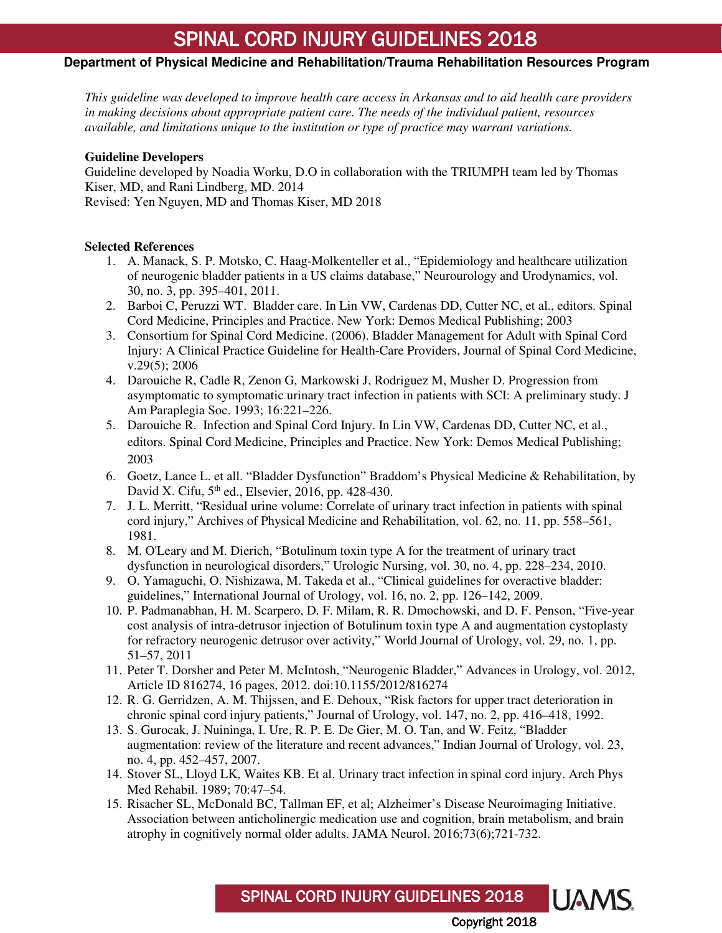## **Department of Physical Medicine and Rehabilitation/Trauma Rehabilitation Resources Program**

*This guideline was developed to improve health care access in Arkansas and to aid health care providers in making decisions about appropriate patient care. The needs of the individual patient, resources available, and limitations unique to the institution or type of practice may warrant variations.*

#### **Guideline Developers**

Guideline developed by Noadia Worku, D.O in collaboration with the TRIUMPH team led by Thomas Kiser, MD, and Rani Lindberg, MD. 2014 Revised: Yen Nguyen, MD and Thomas Kiser, MD 2018

#### <span id="page-6-0"></span>**Selected References**

- 1. A. Manack, S. P. Motsko, C. Haag-Molkenteller et al., "Epidemiology and healthcare utilization of neurogenic bladder patients in a US claims database," Neurourology and Urodynamics, vol. 30, no. 3, pp. 395–401, 2011.
- 2. Barboi C, Peruzzi WT. Bladder care. In Lin VW, Cardenas DD, Cutter NC, et al., editors. Spinal Cord Medicine, Principles and Practice. New York: Demos Medical Publishing; 2003
- 3. Consortium for Spinal Cord Medicine. (2006). Bladder Management for Adult with Spinal Cord Injury: A Clinical Practice Guideline for Health-Care Providers, Journal of Spinal Cord Medicine, v.29(5); 2006
- 4. Darouiche R, Cadle R, Zenon G, Markowski J, Rodriguez M, Musher D. Progression from asymptomatic to symptomatic urinary tract infection in patients with SCI: A preliminary study. J Am Paraplegia Soc. 1993; 16:221–226.
- 5. Darouiche R. Infection and Spinal Cord Injury. In Lin VW, Cardenas DD, Cutter NC, et al., editors. Spinal Cord Medicine, Principles and Practice. New York: Demos Medical Publishing; 2003
- 6. Goetz, Lance L. et all. "Bladder Dysfunction" Braddom's Physical Medicine & Rehabilitation, by David X. Cifu,  $5<sup>th</sup>$  ed., Elsevier, 2016, pp. 428-430.
- 7. J. L. Merritt, "Residual urine volume: Correlate of urinary tract infection in patients with spinal cord injury," Archives of Physical Medicine and Rehabilitation, vol. 62, no. 11, pp. 558–561, 1981.
- 8. M. O'Leary and M. Dierich, "Botulinum toxin type A for the treatment of urinary tract dysfunction in neurological disorders," Urologic Nursing, vol. 30, no. 4, pp. 228–234, 2010.
- 9. O. Yamaguchi, O. Nishizawa, M. Takeda et al., "Clinical guidelines for overactive bladder: guidelines," International Journal of Urology, vol. 16, no. 2, pp. 126–142, 2009.
- 10. P. Padmanabhan, H. M. Scarpero, D. F. Milam, R. R. Dmochowski, and D. F. Penson, "Five-year cost analysis of intra-detrusor injection of Botulinum toxin type A and augmentation cystoplasty for refractory neurogenic detrusor over activity," World Journal of Urology, vol. 29, no. 1, pp. 51–57, 2011
- 11. Peter T. Dorsher and Peter M. McIntosh, "Neurogenic Bladder," Advances in Urology, vol. 2012, Article ID 816274, 16 pages, 2012. doi:10.1155/2012/816274
- 12. R. G. Gerridzen, A. M. Thijssen, and E. Dehoux, "Risk factors for upper tract deterioration in chronic spinal cord injury patients," Journal of Urology, vol. 147, no. 2, pp. 416–418, 1992.
- 13. S. Gurocak, J. Nuininga, I. Ure, R. P. E. De Gier, M. O. Tan, and W. Feitz, "Bladder augmentation: review of the literature and recent advances," Indian Journal of Urology, vol. 23, no. 4, pp. 452–457, 2007.
- 14. Stover SL, Lloyd LK, Waites KB. Et al. Urinary tract infection in spinal cord injury. Arch Phys Med Rehabil. 1989; 70:47–54.
- 15. Risacher SL, McDonald BC, Tallman EF, et al; Alzheimer's Disease Neuroimaging Initiative. Association between anticholinergic medication use and cognition, brain metabolism, and brain atrophy in cognitively normal older adults. JAMA Neurol. 2016;73(6);721-732.

**UAMS** SPINAL CORD INJURY GUIDELINES 2018